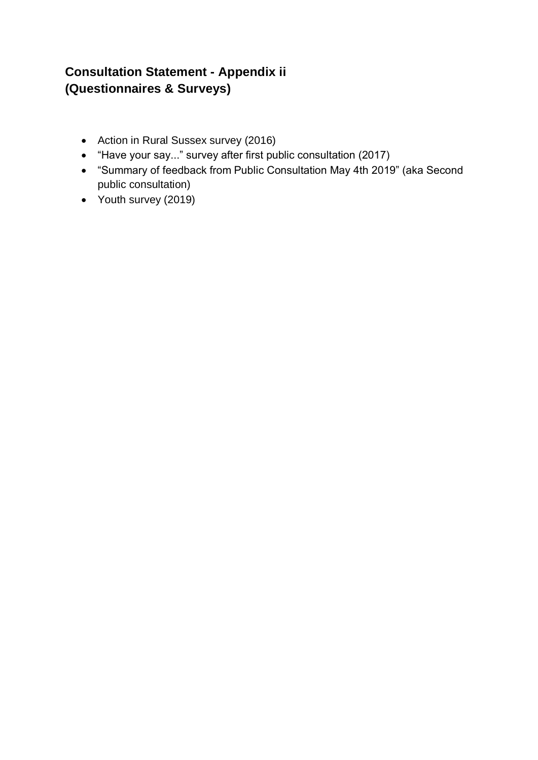# **Consultation Statement - Appendix ii (Questionnaires & Surveys)**

- Action in Rural Sussex survey (2016)
- "Have your say..." survey after first public consultation (2017)
- "Summary of feedback from Public Consultation May 4th 2019" (aka Second public consultation)
- Youth survey (2019)